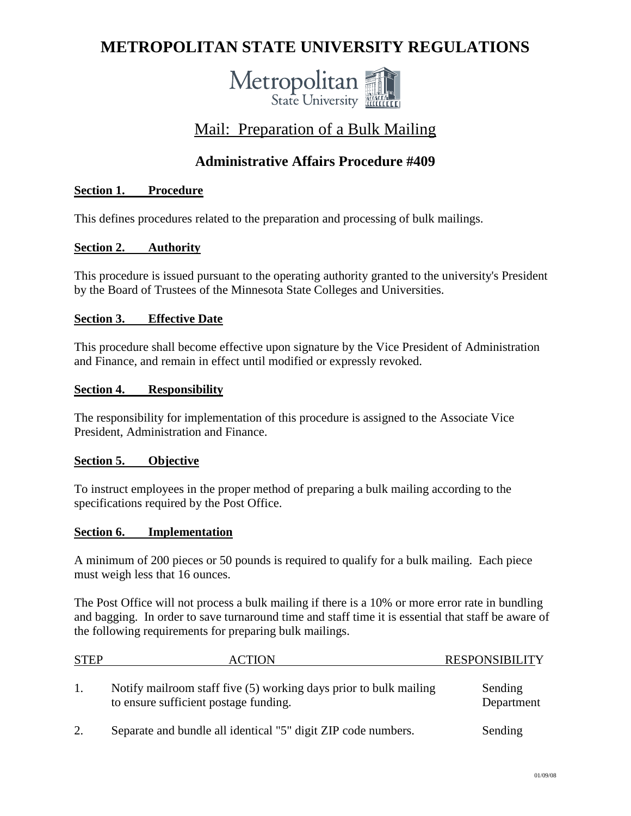# **METROPOLITAN STATE UNIVERSITY REGULATIONS**



# Mail: Preparation of a Bulk Mailing

# **Administrative Affairs Procedure #409**

### **Section 1. Procedure**

This defines procedures related to the preparation and processing of bulk mailings.

#### **Section 2. Authority**

This procedure is issued pursuant to the operating authority granted to the university's President by the Board of Trustees of the Minnesota State Colleges and Universities.

#### **Section 3. Effective Date**

This procedure shall become effective upon signature by the Vice President of Administration and Finance, and remain in effect until modified or expressly revoked.

#### **Section 4. Responsibility**

The responsibility for implementation of this procedure is assigned to the Associate Vice President, Administration and Finance.

#### **Section 5. Objective**

To instruct employees in the proper method of preparing a bulk mailing according to the specifications required by the Post Office.

#### **Section 6. Implementation**

A minimum of 200 pieces or 50 pounds is required to qualify for a bulk mailing. Each piece must weigh less that 16 ounces.

The Post Office will not process a bulk mailing if there is a 10% or more error rate in bundling and bagging. In order to save turnaround time and staff time it is essential that staff be aware of the following requirements for preparing bulk mailings.

| <b>STEP</b> | ACTION                                                                                                     | <b>RESPONSIBILITY</b> |
|-------------|------------------------------------------------------------------------------------------------------------|-----------------------|
| 1.          | Notify mailroom staff five (5) working days prior to bulk mailing<br>to ensure sufficient postage funding. | Sending<br>Department |
|             | Separate and bundle all identical "5" digit ZIP code numbers.                                              | Sending               |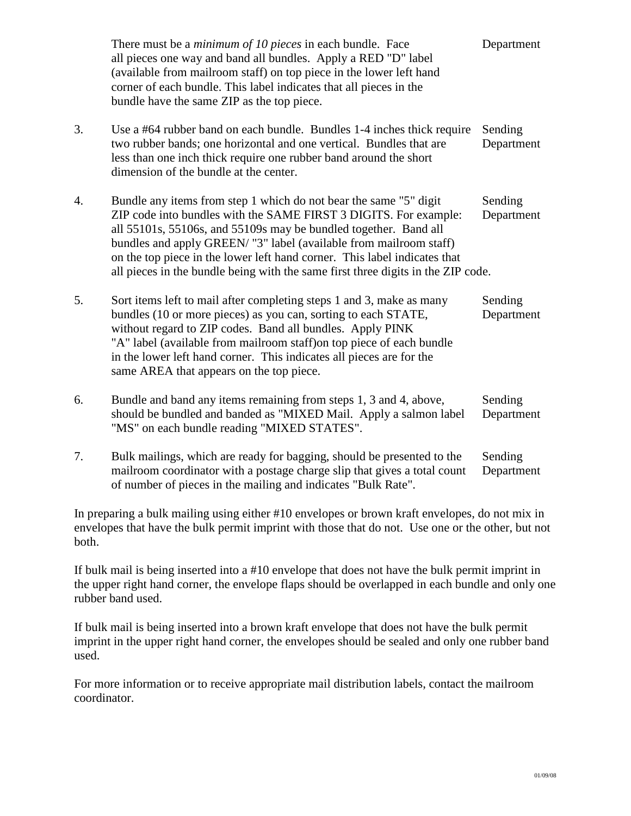|    | There must be a <i>minimum of 10 pieces</i> in each bundle. Face<br>all pieces one way and band all bundles. Apply a RED "D" label<br>(available from mailroom staff) on top piece in the lower left hand<br>corner of each bundle. This label indicates that all pieces in the<br>bundle have the same ZIP as the top piece.                                                                                                                    | Department            |
|----|--------------------------------------------------------------------------------------------------------------------------------------------------------------------------------------------------------------------------------------------------------------------------------------------------------------------------------------------------------------------------------------------------------------------------------------------------|-----------------------|
| 3. | Use a #64 rubber band on each bundle. Bundles 1-4 inches thick require<br>two rubber bands; one horizontal and one vertical. Bundles that are<br>less than one inch thick require one rubber band around the short<br>dimension of the bundle at the center.                                                                                                                                                                                     | Sending<br>Department |
| 4. | Bundle any items from step 1 which do not bear the same "5" digit<br>ZIP code into bundles with the SAME FIRST 3 DIGITS. For example:<br>all 55101s, 55106s, and 55109s may be bundled together. Band all<br>bundles and apply GREEN/ "3" label (available from mailroom staff)<br>on the top piece in the lower left hand corner. This label indicates that<br>all pieces in the bundle being with the same first three digits in the ZIP code. | Sending<br>Department |
| 5. | Sort items left to mail after completing steps 1 and 3, make as many<br>bundles (10 or more pieces) as you can, sorting to each STATE,<br>without regard to ZIP codes. Band all bundles. Apply PINK<br>"A" label (available from mailroom staff) on top piece of each bundle<br>in the lower left hand corner. This indicates all pieces are for the<br>same AREA that appears on the top piece.                                                 | Sending<br>Department |
| 6. | Bundle and band any items remaining from steps 1, 3 and 4, above,<br>should be bundled and banded as "MIXED Mail. Apply a salmon label<br>"MS" on each bundle reading "MIXED STATES".                                                                                                                                                                                                                                                            | Sending<br>Department |
| 7. | Bulk mailings, which are ready for bagging, should be presented to the<br>mailroom coordinator with a postage charge slip that gives a total count<br>of number of pieces in the mailing and indicates "Bulk Rate".                                                                                                                                                                                                                              | Sending<br>Department |

In preparing a bulk mailing using either #10 envelopes or brown kraft envelopes, do not mix in envelopes that have the bulk permit imprint with those that do not. Use one or the other, but not both.

If bulk mail is being inserted into a #10 envelope that does not have the bulk permit imprint in the upper right hand corner, the envelope flaps should be overlapped in each bundle and only one rubber band used.

If bulk mail is being inserted into a brown kraft envelope that does not have the bulk permit imprint in the upper right hand corner, the envelopes should be sealed and only one rubber band used.

For more information or to receive appropriate mail distribution labels, contact the mailroom coordinator.